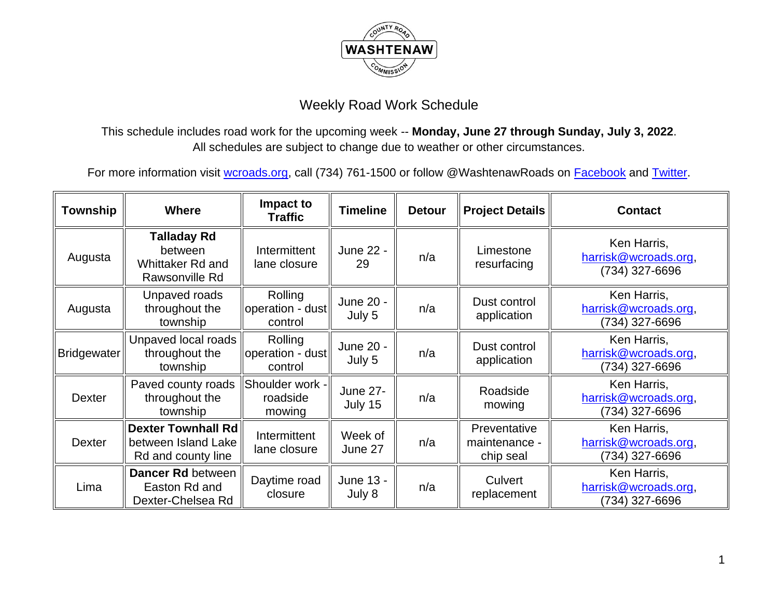

This schedule includes road work for the upcoming week -- **Monday, June 27 through Sunday, July 3, 2022**. All schedules are subject to change due to weather or other circumstances.

| <b>Township</b>    | <b>Where</b>                                                               | Impact to<br><b>Traffic</b>            | <b>Timeline</b>            | <b>Detour</b> | <b>Project Details</b>                     | <b>Contact</b>                                        |
|--------------------|----------------------------------------------------------------------------|----------------------------------------|----------------------------|---------------|--------------------------------------------|-------------------------------------------------------|
| Augusta            | <b>Talladay Rd</b><br>between<br><b>Whittaker Rd and</b><br>Rawsonville Rd | Intermittent<br>lane closure           | June 22 -<br>29            | n/a           | Limestone<br>resurfacing                   | Ken Harris,<br>harrisk@wcroads.org,<br>(734) 327-6696 |
| Augusta            | Unpaved roads<br>throughout the<br>township                                | Rolling<br>operation - dust<br>control | June 20 -<br>July 5        | n/a           | Dust control<br>application                | Ken Harris,<br>harrisk@wcroads.org,<br>(734) 327-6696 |
| <b>Bridgewater</b> | Unpaved local roads<br>throughout the<br>township                          | Rolling<br>operation - dust<br>control | June 20 -<br>July 5        | n/a           | Dust control<br>application                | Ken Harris,<br>harrisk@wcroads.org,<br>(734) 327-6696 |
| Dexter             | Paved county roads<br>throughout the<br>township                           | Shoulder work -<br>roadside<br>mowing  | <b>June 27-</b><br>July 15 | n/a           | Roadside<br>mowing                         | Ken Harris,<br>harrisk@wcroads.org,<br>(734) 327-6696 |
| <b>Dexter</b>      | <b>Dexter Townhall Rd</b><br>between Island Lake<br>Rd and county line     | Intermittent<br>lane closure           | Week of<br>June 27         | n/a           | Preventative<br>maintenance -<br>chip seal | Ken Harris,<br>harrisk@wcroads.org,<br>(734) 327-6696 |
| Lima               | Dancer Rd between<br>Easton Rd and<br>Dexter-Chelsea Rd                    | Daytime road<br>closure                | June 13 -<br>July 8        | n/a           | Culvert<br>replacement                     | Ken Harris,<br>harrisk@wcroads.org,<br>(734) 327-6696 |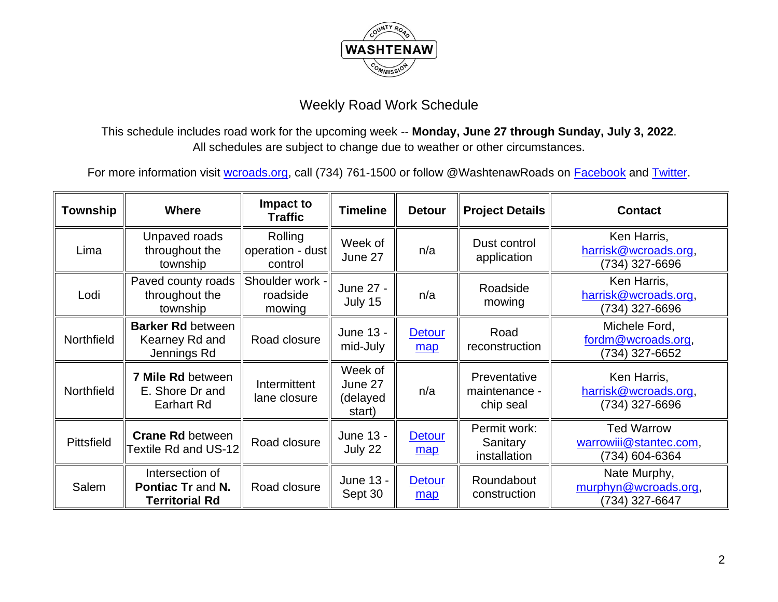

This schedule includes road work for the upcoming week -- **Monday, June 27 through Sunday, July 3, 2022**. All schedules are subject to change due to weather or other circumstances.

| Township   | <b>Where</b>                                                         | Impact to<br><b>Traffic</b>            | <b>Timeline</b>                          | <b>Detour</b>        | <b>Project Details</b>                     | <b>Contact</b>                                                |
|------------|----------------------------------------------------------------------|----------------------------------------|------------------------------------------|----------------------|--------------------------------------------|---------------------------------------------------------------|
| Lima       | Unpaved roads<br>throughout the<br>township                          | Rolling<br>operation - dust<br>control | Week of<br>June 27                       | n/a                  | Dust control<br>application                | Ken Harris,<br>harrisk@wcroads.org,<br>(734) 327-6696         |
| Lodi       | Paved county roads<br>throughout the<br>township                     | Shoulder work -<br>roadside<br>mowing  | June 27 -<br>July 15                     | n/a                  | Roadside<br>mowing                         | Ken Harris,<br>harrisk@wcroads.org,<br>(734) 327-6696         |
| Northfield | <b>Barker Rd between</b><br>Kearney Rd and<br>Jennings Rd            | Road closure                           | June 13 -<br>mid-July                    | <b>Detour</b><br>map | Road<br>reconstruction                     | Michele Ford,<br>fordm@wcroads.org,<br>(734) 327-6652         |
| Northfield | 7 Mile Rd between<br>E. Shore Dr and<br>Earhart Rd                   | Intermittent<br>lane closure           | Week of<br>June 27<br>(delayed<br>start) | n/a                  | Preventative<br>maintenance -<br>chip seal | Ken Harris,<br>harrisk@wcroads.org,<br>(734) 327-6696         |
| Pittsfield | <b>Crane Rd between</b><br>Textile Rd and US-12                      | Road closure                           | June 13 -<br>July 22                     | <b>Detour</b><br>map | Permit work:<br>Sanitary<br>installation   | <b>Ted Warrow</b><br>warrowiii@stantec.com,<br>(734) 604-6364 |
| Salem      | Intersection of<br><b>Pontiac Tr and N.</b><br><b>Territorial Rd</b> | Road closure                           | June 13 -<br>Sept 30                     | <b>Detour</b><br>map | Roundabout<br>construction                 | Nate Murphy,<br>murphyn@wcroads.org,<br>(734) 327-6647        |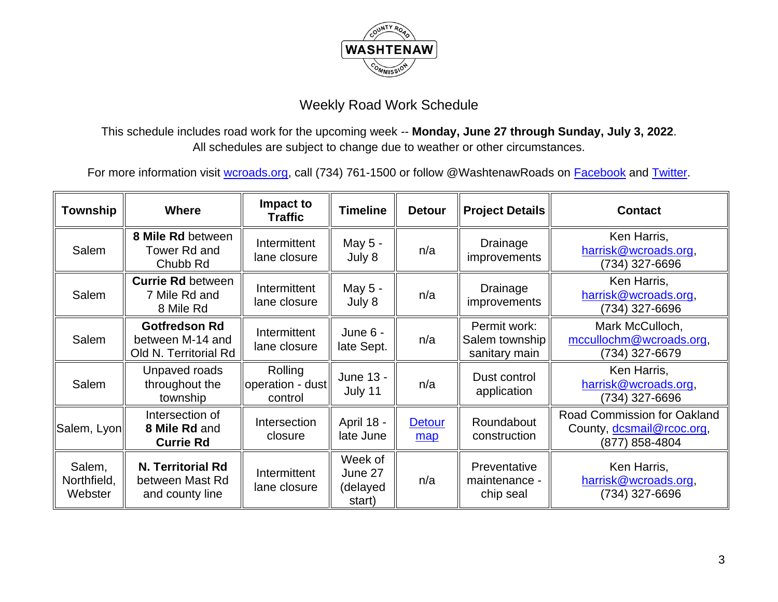

This schedule includes road work for the upcoming week -- **Monday, June 27 through Sunday, July 3, 2022**. All schedules are subject to change due to weather or other circumstances.

| Township                         | <b>Where</b>                                                      | Impact to<br><b>Traffic</b>            | <b>Timeline</b>                          | <b>Detour</b>        | <b>Project Details</b>                          | <b>Contact</b>                                                                    |
|----------------------------------|-------------------------------------------------------------------|----------------------------------------|------------------------------------------|----------------------|-------------------------------------------------|-----------------------------------------------------------------------------------|
| Salem                            | 8 Mile Rd between<br>Tower Rd and<br>Chubb Rd                     | Intermittent<br>lane closure           | May 5 -<br>July 8                        | n/a                  | Drainage<br><i>improvements</i>                 | Ken Harris,<br>harrisk@wcroads.org,<br>(734) 327-6696                             |
| Salem                            | <b>Currie Rd between</b><br>7 Mile Rd and<br>8 Mile Rd            | Intermittent<br>lane closure           | May 5 -<br>July 8                        | n/a                  | Drainage<br>improvements                        | Ken Harris,<br>harrisk@wcroads.org,<br>(734) 327-6696                             |
| Salem                            | <b>Gotfredson Rd</b><br>between M-14 and<br>Old N. Territorial Rd | Intermittent<br>lane closure           | June 6 -<br>late Sept.                   | n/a                  | Permit work:<br>Salem township<br>sanitary main | Mark McCulloch,<br>mccullochm@wcroads.org,<br>(734) 327-6679                      |
| Salem                            | Unpaved roads<br>throughout the<br>township                       | Rolling<br>operation - dust<br>control | June 13 -<br>July 11                     | n/a                  | Dust control<br>application                     | Ken Harris,<br>harrisk@wcroads.org,<br>(734) 327-6696                             |
| Salem, Lyon                      | Intersection of<br>8 Mile Rd and<br><b>Currie Rd</b>              | Intersection<br>closure                | April 18 -<br>late June                  | <b>Detour</b><br>map | Roundabout<br>construction                      | <b>Road Commission for Oakland</b><br>County, dcsmail@rcoc.org,<br>(877) 858-4804 |
| Salem,<br>Northfield,<br>Webster | N. Territorial Rd<br>between Mast Rd<br>and county line           | Intermittent<br>lane closure           | Week of<br>June 27<br>(delayed<br>start) | n/a                  | Preventative<br>maintenance -<br>chip seal      | Ken Harris,<br>harrisk@wcroads.org,<br>(734) 327-6696                             |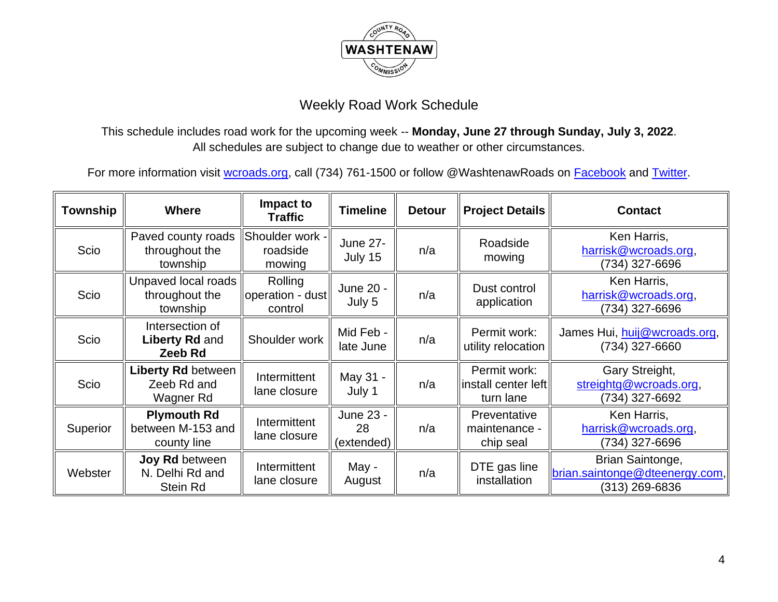

This schedule includes road work for the upcoming week -- **Monday, June 27 through Sunday, July 3, 2022**. All schedules are subject to change due to weather or other circumstances.

| <b>Township</b> | <b>Where</b>                                                | Impact to<br><b>Traffic</b>            | <b>Timeline</b>               | <b>Detour</b> | <b>Project Details</b>                            | <b>Contact</b>                                                              |
|-----------------|-------------------------------------------------------------|----------------------------------------|-------------------------------|---------------|---------------------------------------------------|-----------------------------------------------------------------------------|
| Scio            | Paved county roads<br>throughout the<br>township            | Shoulder work -<br>roadside<br>mowing  | <b>June 27-</b><br>July 15    | n/a           | Roadside<br>mowing                                | Ken Harris,<br>harrisk@wcroads.org,<br>(734) 327-6696                       |
| Scio            | Unpaved local roads<br>throughout the<br>township           | Rolling<br>operation - dust<br>control | June 20 -<br>July 5           | n/a           | Dust control<br>application                       | Ken Harris,<br>harrisk@wcroads.org,<br>(734) 327-6696                       |
| Scio            | Intersection of<br><b>Liberty Rd and</b><br>Zeeb Rd         | Shoulder work                          | Mid Feb -<br>late June        | n/a           | Permit work:<br>utility relocation                | James Hui, huij@wcroads.org,<br>(734) 327-6660                              |
| Scio            | <b>Liberty Rd between</b><br>Zeeb Rd and<br>Wagner Rd       | Intermittent<br>lane closure           | May 31 -<br>July 1            | n/a           | Permit work:<br>linstall center left<br>turn lane | Gary Streight,<br>streightg@wcroads.org,<br>(734) 327-6692                  |
| Superior        | <b>Plymouth Rd</b><br>between M-153 and<br>county line      | Intermittent<br>lane closure           | June 23 -<br>28<br>(extended) | n/a           | Preventative<br>maintenance -<br>chip seal        | Ken Harris,<br>harrisk@wcroads.org,<br>(734) 327-6696                       |
| Webster         | <b>Joy Rd between</b><br>N. Delhi Rd and<br><b>Stein Rd</b> | Intermittent<br>lane closure           | May -<br>August               | n/a           | DTE gas line<br>installation                      | Brian Saintonge,<br><u>brian.saintonge@dteenergy.com,</u><br>(313) 269-6836 |